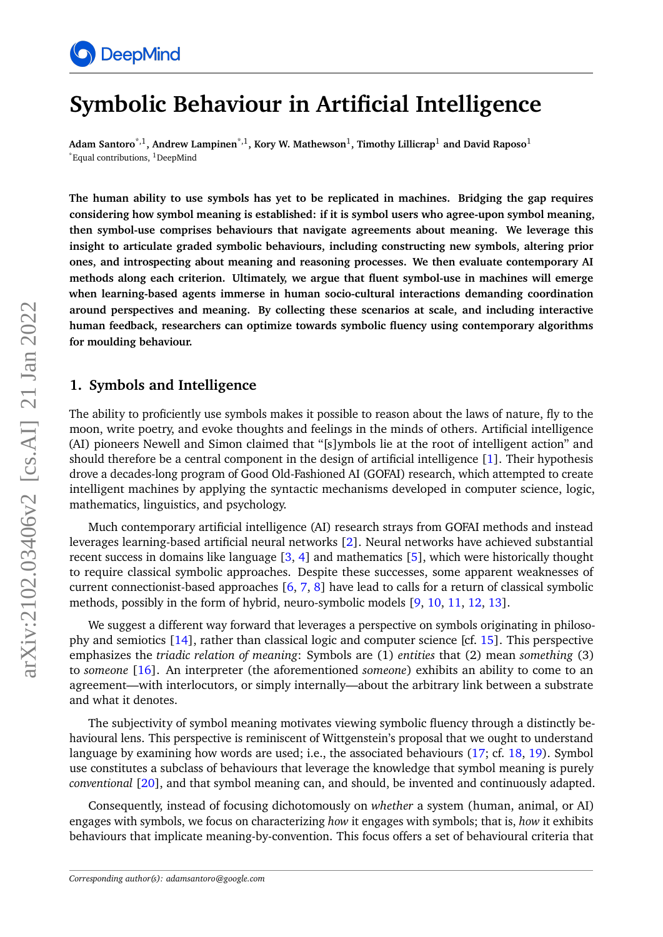

# **Symbolic Behaviour in Artificial Intelligence**

**Adam Santoro**\*,1**, Andrew Lampinen**\*,1**, Kory W. Mathewson**<sup>1</sup> **, Timothy Lillicrap**<sup>1</sup> **and David Raposo**<sup>1</sup>  $E$ qual contributions, <sup>1</sup>DeepMind

**The human ability to use symbols has yet to be replicated in machines. Bridging the gap requires considering how symbol meaning is established: if it is symbol users who agree-upon symbol meaning, then symbol-use comprises behaviours that navigate agreements about meaning. We leverage this insight to articulate graded symbolic behaviours, including constructing new symbols, altering prior ones, and introspecting about meaning and reasoning processes. We then evaluate contemporary AI methods along each criterion. Ultimately, we argue that fluent symbol-use in machines will emerge when learning-based agents immerse in human socio-cultural interactions demanding coordination around perspectives and meaning. By collecting these scenarios at scale, and including interactive human feedback, researchers can optimize towards symbolic fluency using contemporary algorithms for moulding behaviour.**

#### **1. Symbols and Intelligence**

The ability to proficiently use symbols makes it possible to reason about the laws of nature, fly to the moon, write poetry, and evoke thoughts and feelings in the minds of others. Artificial intelligence (AI) pioneers Newell and Simon claimed that "[s]ymbols lie at the root of intelligent action" and should therefore be a central component in the design of artificial intelligence [\[1\]](#page-9-0). Their hypothesis drove a decades-long program of Good Old-Fashioned AI (GOFAI) research, which attempted to create intelligent machines by applying the syntactic mechanisms developed in computer science, logic, mathematics, linguistics, and psychology.

Much contemporary artificial intelligence (AI) research strays from GOFAI methods and instead leverages learning-based artificial neural networks [\[2\]](#page-9-1). Neural networks have achieved substantial recent success in domains like language [\[3,](#page-9-2) [4\]](#page-9-3) and mathematics [\[5\]](#page-9-4), which were historically thought to require classical symbolic approaches. Despite these successes, some apparent weaknesses of current connectionist-based approaches [\[6,](#page-9-5) [7,](#page-9-6) [8\]](#page-9-7) have lead to calls for a return of classical symbolic methods, possibly in the form of hybrid, neuro-symbolic models [\[9,](#page-9-8) [10,](#page-9-9) [11,](#page-9-10) [12,](#page-9-11) [13\]](#page-9-12).

We suggest a different way forward that leverages a perspective on symbols originating in philosophy and semiotics [\[14\]](#page-9-13), rather than classical logic and computer science [cf. [15\]](#page-10-0). This perspective emphasizes the *triadic relation of meaning*: Symbols are (1) *entities* that (2) mean *something* (3) to *someone* [\[16\]](#page-10-1). An interpreter (the aforementioned *someone*) exhibits an ability to come to an agreement—with interlocutors, or simply internally—about the arbitrary link between a substrate and what it denotes.

The subjectivity of symbol meaning motivates viewing symbolic fluency through a distinctly behavioural lens. This perspective is reminiscent of Wittgenstein's proposal that we ought to understand language by examining how words are used; i.e., the associated behaviours [\(17;](#page-10-2) cf. [18,](#page-10-3) [19\)](#page-10-4). Symbol use constitutes a subclass of behaviours that leverage the knowledge that symbol meaning is purely *conventional* [\[20\]](#page-10-5), and that symbol meaning can, and should, be invented and continuously adapted.

Consequently, instead of focusing dichotomously on *whether* a system (human, animal, or AI) engages with symbols, we focus on characterizing *how* it engages with symbols; that is, *how* it exhibits behaviours that implicate meaning-by-convention. This focus offers a set of behavioural criteria that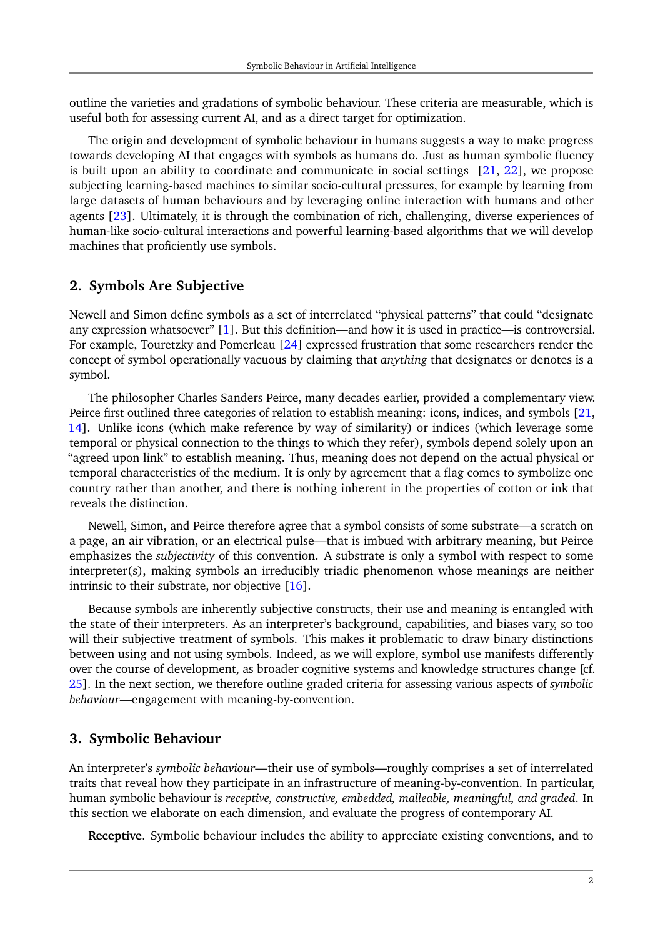outline the varieties and gradations of symbolic behaviour. These criteria are measurable, which is useful both for assessing current AI, and as a direct target for optimization.

The origin and development of symbolic behaviour in humans suggests a way to make progress towards developing AI that engages with symbols as humans do. Just as human symbolic fluency is built upon an ability to coordinate and communicate in social settings [\[21,](#page-10-6) [22\]](#page-10-7), we propose subjecting learning-based machines to similar socio-cultural pressures, for example by learning from large datasets of human behaviours and by leveraging online interaction with humans and other agents [\[23\]](#page-10-8). Ultimately, it is through the combination of rich, challenging, diverse experiences of human-like socio-cultural interactions and powerful learning-based algorithms that we will develop machines that proficiently use symbols.

### **2. Symbols Are Subjective**

Newell and Simon define symbols as a set of interrelated "physical patterns" that could "designate any expression whatsoever" [\[1\]](#page-9-0). But this definition—and how it is used in practice—is controversial. For example, Touretzky and Pomerleau [\[24\]](#page-10-9) expressed frustration that some researchers render the concept of symbol operationally vacuous by claiming that *anything* that designates or denotes is a symbol.

The philosopher Charles Sanders Peirce, many decades earlier, provided a complementary view. Peirce first outlined three categories of relation to establish meaning: icons, indices, and symbols [\[21,](#page-10-6) [14\]](#page-9-13). Unlike icons (which make reference by way of similarity) or indices (which leverage some temporal or physical connection to the things to which they refer), symbols depend solely upon an "agreed upon link" to establish meaning. Thus, meaning does not depend on the actual physical or temporal characteristics of the medium. It is only by agreement that a flag comes to symbolize one country rather than another, and there is nothing inherent in the properties of cotton or ink that reveals the distinction.

Newell, Simon, and Peirce therefore agree that a symbol consists of some substrate—a scratch on a page, an air vibration, or an electrical pulse—that is imbued with arbitrary meaning, but Peirce emphasizes the *subjectivity* of this convention. A substrate is only a symbol with respect to some interpreter(s), making symbols an irreducibly triadic phenomenon whose meanings are neither intrinsic to their substrate, nor objective [\[16\]](#page-10-1).

Because symbols are inherently subjective constructs, their use and meaning is entangled with the state of their interpreters. As an interpreter's background, capabilities, and biases vary, so too will their subjective treatment of symbols. This makes it problematic to draw binary distinctions between using and not using symbols. Indeed, as we will explore, symbol use manifests differently over the course of development, as broader cognitive systems and knowledge structures change [cf. [25\]](#page-10-10). In the next section, we therefore outline graded criteria for assessing various aspects of *symbolic behaviour*—engagement with meaning-by-convention.

## **3. Symbolic Behaviour**

An interpreter's *symbolic behaviour*—their use of symbols—roughly comprises a set of interrelated traits that reveal how they participate in an infrastructure of meaning-by-convention. In particular, human symbolic behaviour is *receptive, constructive, embedded, malleable, meaningful, and graded*. In this section we elaborate on each dimension, and evaluate the progress of contemporary AI.

**Receptive**. Symbolic behaviour includes the ability to appreciate existing conventions, and to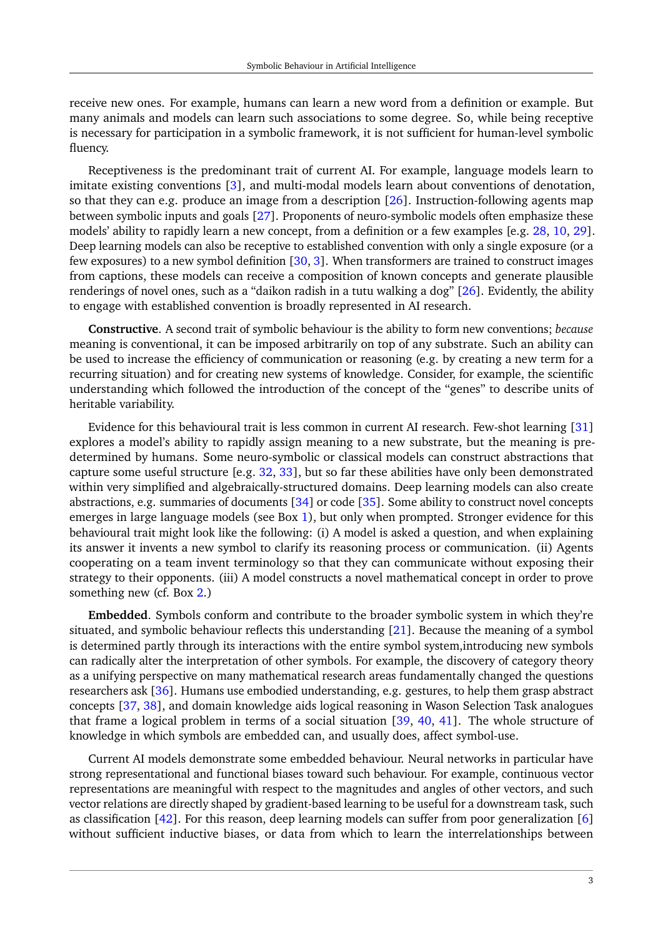receive new ones. For example, humans can learn a new word from a definition or example. But many animals and models can learn such associations to some degree. So, while being receptive is necessary for participation in a symbolic framework, it is not sufficient for human-level symbolic fluency.

Receptiveness is the predominant trait of current AI. For example, language models learn to imitate existing conventions [\[3\]](#page-9-2), and multi-modal models learn about conventions of denotation, so that they can e.g. produce an image from a description [\[26\]](#page-10-11). Instruction-following agents map between symbolic inputs and goals [\[27\]](#page-10-12). Proponents of neuro-symbolic models often emphasize these models' ability to rapidly learn a new concept, from a definition or a few examples [e.g. [28,](#page-10-13) [10,](#page-9-9) [29\]](#page-10-14). Deep learning models can also be receptive to established convention with only a single exposure (or a few exposures) to a new symbol definition [\[30,](#page-10-15) [3\]](#page-9-2). When transformers are trained to construct images from captions, these models can receive a composition of known concepts and generate plausible renderings of novel ones, such as a "daikon radish in a tutu walking a dog" [\[26\]](#page-10-11). Evidently, the ability to engage with established convention is broadly represented in AI research.

**Constructive**. A second trait of symbolic behaviour is the ability to form new conventions; *because* meaning is conventional, it can be imposed arbitrarily on top of any substrate. Such an ability can be used to increase the efficiency of communication or reasoning (e.g. by creating a new term for a recurring situation) and for creating new systems of knowledge. Consider, for example, the scientific understanding which followed the introduction of the concept of the "genes" to describe units of heritable variability.

Evidence for this behavioural trait is less common in current AI research. Few-shot learning [\[31\]](#page-10-16) explores a model's ability to rapidly assign meaning to a new substrate, but the meaning is predetermined by humans. Some neuro-symbolic or classical models can construct abstractions that capture some useful structure [e.g. [32,](#page-11-0) [33\]](#page-11-1), but so far these abilities have only been demonstrated within very simplified and algebraically-structured domains. Deep learning models can also create abstractions, e.g. summaries of documents [\[34\]](#page-11-2) or code [\[35\]](#page-11-3). Some ability to construct novel concepts emerges in large language models (see Box [1\)](#page-5-0), but only when prompted. Stronger evidence for this behavioural trait might look like the following: (i) A model is asked a question, and when explaining its answer it invents a new symbol to clarify its reasoning process or communication. (ii) Agents cooperating on a team invent terminology so that they can communicate without exposing their strategy to their opponents. (iii) A model constructs a novel mathematical concept in order to prove something new (cf. Box [2.](#page-6-0))

**Embedded**. Symbols conform and contribute to the broader symbolic system in which they're situated, and symbolic behaviour reflects this understanding [\[21\]](#page-10-6). Because the meaning of a symbol is determined partly through its interactions with the entire symbol system,introducing new symbols can radically alter the interpretation of other symbols. For example, the discovery of category theory as a unifying perspective on many mathematical research areas fundamentally changed the questions researchers ask [\[36\]](#page-11-4). Humans use embodied understanding, e.g. gestures, to help them grasp abstract concepts [\[37,](#page-11-5) [38\]](#page-11-6), and domain knowledge aids logical reasoning in Wason Selection Task analogues that frame a logical problem in terms of a social situation [\[39,](#page-11-7) [40,](#page-11-8) [41\]](#page-11-9). The whole structure of knowledge in which symbols are embedded can, and usually does, affect symbol-use.

Current AI models demonstrate some embedded behaviour. Neural networks in particular have strong representational and functional biases toward such behaviour. For example, continuous vector representations are meaningful with respect to the magnitudes and angles of other vectors, and such vector relations are directly shaped by gradient-based learning to be useful for a downstream task, such as classification [\[42\]](#page-11-10). For this reason, deep learning models can suffer from poor generalization [\[6\]](#page-9-5) without sufficient inductive biases, or data from which to learn the interrelationships between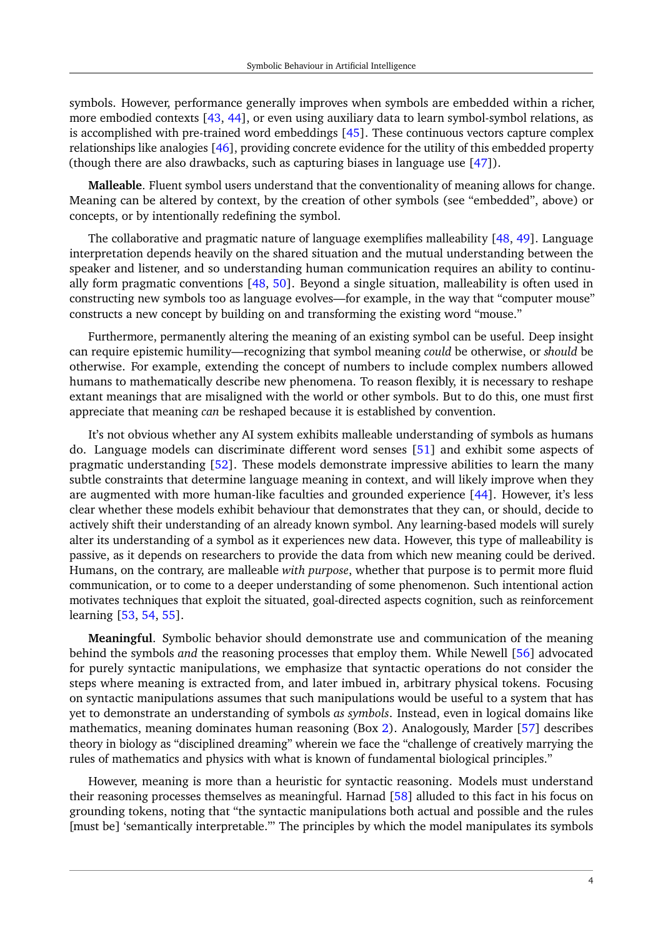symbols. However, performance generally improves when symbols are embedded within a richer, more embodied contexts [\[43,](#page-11-11) [44\]](#page-11-12), or even using auxiliary data to learn symbol-symbol relations, as is accomplished with pre-trained word embeddings [\[45\]](#page-11-13). These continuous vectors capture complex relationships like analogies [\[46\]](#page-11-14), providing concrete evidence for the utility of this embedded property (though there are also drawbacks, such as capturing biases in language use [\[47\]](#page-12-0)).

**Malleable**. Fluent symbol users understand that the conventionality of meaning allows for change. Meaning can be altered by context, by the creation of other symbols (see "embedded", above) or concepts, or by intentionally redefining the symbol.

The collaborative and pragmatic nature of language exemplifies malleability [\[48,](#page-12-1) [49\]](#page-12-2). Language interpretation depends heavily on the shared situation and the mutual understanding between the speaker and listener, and so understanding human communication requires an ability to continually form pragmatic conventions [\[48,](#page-12-1) [50\]](#page-12-3). Beyond a single situation, malleability is often used in constructing new symbols too as language evolves—for example, in the way that "computer mouse" constructs a new concept by building on and transforming the existing word "mouse."

Furthermore, permanently altering the meaning of an existing symbol can be useful. Deep insight can require epistemic humility—recognizing that symbol meaning *could* be otherwise, or *should* be otherwise. For example, extending the concept of numbers to include complex numbers allowed humans to mathematically describe new phenomena. To reason flexibly, it is necessary to reshape extant meanings that are misaligned with the world or other symbols. But to do this, one must first appreciate that meaning *can* be reshaped because it is established by convention.

It's not obvious whether any AI system exhibits malleable understanding of symbols as humans do. Language models can discriminate different word senses [\[51\]](#page-12-4) and exhibit some aspects of pragmatic understanding [\[52\]](#page-12-5). These models demonstrate impressive abilities to learn the many subtle constraints that determine language meaning in context, and will likely improve when they are augmented with more human-like faculties and grounded experience [\[44\]](#page-11-12). However, it's less clear whether these models exhibit behaviour that demonstrates that they can, or should, decide to actively shift their understanding of an already known symbol. Any learning-based models will surely alter its understanding of a symbol as it experiences new data. However, this type of malleability is passive, as it depends on researchers to provide the data from which new meaning could be derived. Humans, on the contrary, are malleable *with purpose*, whether that purpose is to permit more fluid communication, or to come to a deeper understanding of some phenomenon. Such intentional action motivates techniques that exploit the situated, goal-directed aspects cognition, such as reinforcement learning [\[53,](#page-12-6) [54,](#page-12-7) [55\]](#page-12-8).

**Meaningful**. Symbolic behavior should demonstrate use and communication of the meaning behind the symbols *and* the reasoning processes that employ them. While Newell [\[56\]](#page-12-9) advocated for purely syntactic manipulations, we emphasize that syntactic operations do not consider the steps where meaning is extracted from, and later imbued in, arbitrary physical tokens. Focusing on syntactic manipulations assumes that such manipulations would be useful to a system that has yet to demonstrate an understanding of symbols *as symbols*. Instead, even in logical domains like mathematics, meaning dominates human reasoning (Box [2\)](#page-6-0). Analogously, Marder [\[57\]](#page-12-10) describes theory in biology as "disciplined dreaming" wherein we face the "challenge of creatively marrying the rules of mathematics and physics with what is known of fundamental biological principles."

However, meaning is more than a heuristic for syntactic reasoning. Models must understand their reasoning processes themselves as meaningful. Harnad [\[58\]](#page-12-11) alluded to this fact in his focus on grounding tokens, noting that "the syntactic manipulations both actual and possible and the rules [must be] 'semantically interpretable."' The principles by which the model manipulates its symbols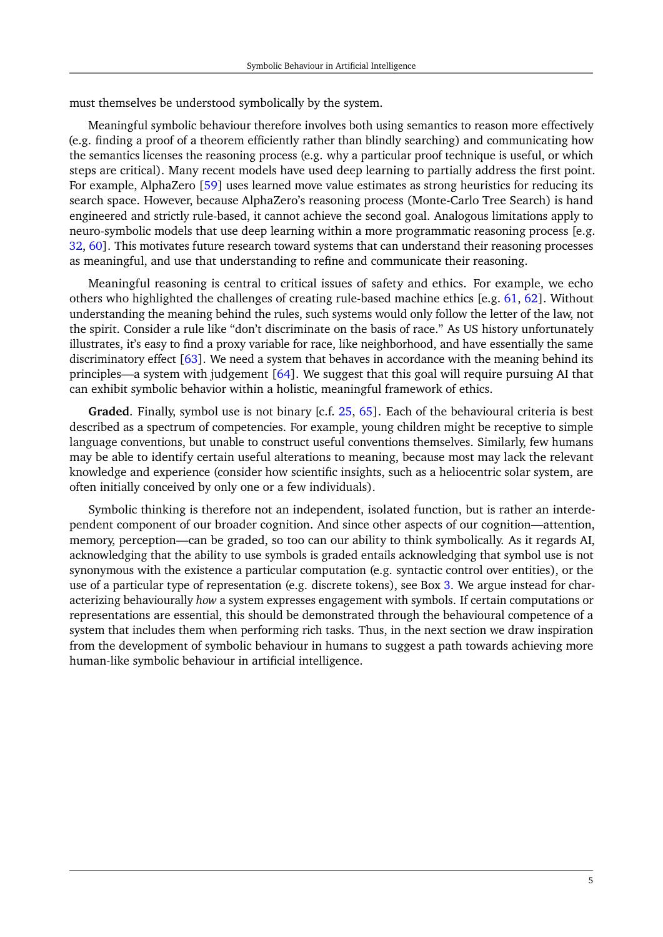must themselves be understood symbolically by the system.

Meaningful symbolic behaviour therefore involves both using semantics to reason more effectively (e.g. finding a proof of a theorem efficiently rather than blindly searching) and communicating how the semantics licenses the reasoning process (e.g. why a particular proof technique is useful, or which steps are critical). Many recent models have used deep learning to partially address the first point. For example, AlphaZero [\[59\]](#page-12-12) uses learned move value estimates as strong heuristics for reducing its search space. However, because AlphaZero's reasoning process (Monte-Carlo Tree Search) is hand engineered and strictly rule-based, it cannot achieve the second goal. Analogous limitations apply to neuro-symbolic models that use deep learning within a more programmatic reasoning process [e.g. [32,](#page-11-0) [60\]](#page-12-13). This motivates future research toward systems that can understand their reasoning processes as meaningful, and use that understanding to refine and communicate their reasoning.

Meaningful reasoning is central to critical issues of safety and ethics. For example, we echo others who highlighted the challenges of creating rule-based machine ethics [e.g. [61,](#page-12-14) [62\]](#page-12-15). Without understanding the meaning behind the rules, such systems would only follow the letter of the law, not the spirit. Consider a rule like "don't discriminate on the basis of race." As US history unfortunately illustrates, it's easy to find a proxy variable for race, like neighborhood, and have essentially the same discriminatory effect  $[63]$ . We need a system that behaves in accordance with the meaning behind its principles—a system with judgement [\[64\]](#page-13-1). We suggest that this goal will require pursuing AI that can exhibit symbolic behavior within a holistic, meaningful framework of ethics.

**Graded**. Finally, symbol use is not binary [c.f. [25,](#page-10-10) [65\]](#page-13-2). Each of the behavioural criteria is best described as a spectrum of competencies. For example, young children might be receptive to simple language conventions, but unable to construct useful conventions themselves. Similarly, few humans may be able to identify certain useful alterations to meaning, because most may lack the relevant knowledge and experience (consider how scientific insights, such as a heliocentric solar system, are often initially conceived by only one or a few individuals).

Symbolic thinking is therefore not an independent, isolated function, but is rather an interdependent component of our broader cognition. And since other aspects of our cognition—attention, memory, perception—can be graded, so too can our ability to think symbolically. As it regards AI, acknowledging that the ability to use symbols is graded entails acknowledging that symbol use is not synonymous with the existence a particular computation (e.g. syntactic control over entities), or the use of a particular type of representation (e.g. discrete tokens), see Box [3.](#page-8-0) We argue instead for characterizing behaviourally *how* a system expresses engagement with symbols. If certain computations or representations are essential, this should be demonstrated through the behavioural competence of a system that includes them when performing rich tasks. Thus, in the next section we draw inspiration from the development of symbolic behaviour in humans to suggest a path towards achieving more human-like symbolic behaviour in artificial intelligence.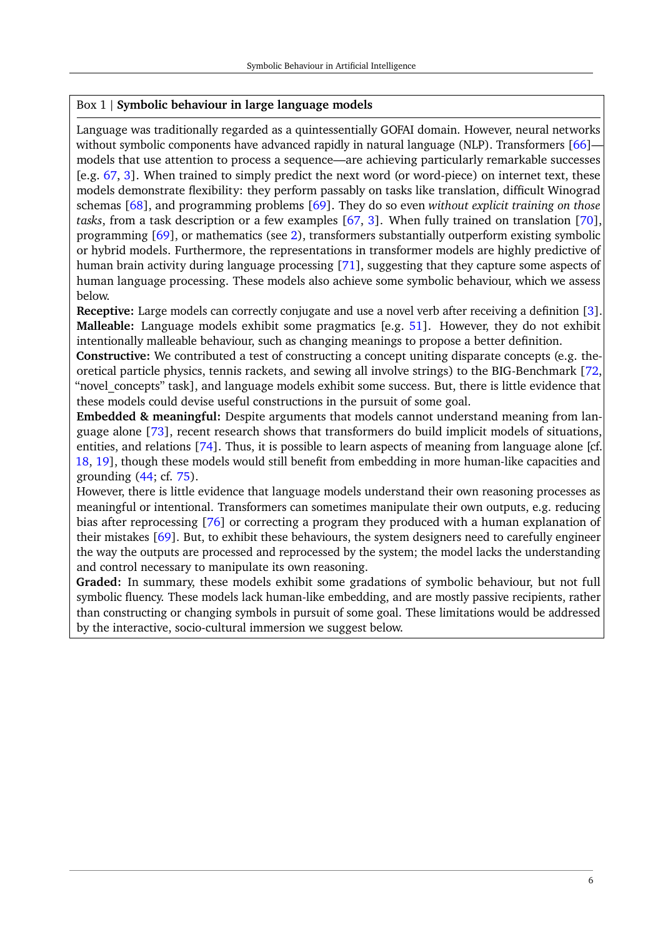#### <span id="page-5-0"></span>Box 1 | **Symbolic behaviour in large language models**

Language was traditionally regarded as a quintessentially GOFAI domain. However, neural networks without symbolic components have advanced rapidly in natural language (NLP). Transformers [\[66\]](#page-13-3)models that use attention to process a sequence—are achieving particularly remarkable successes [e.g. [67,](#page-13-4) [3\]](#page-9-2). When trained to simply predict the next word (or word-piece) on internet text, these models demonstrate flexibility: they perform passably on tasks like translation, difficult Winograd schemas [\[68\]](#page-13-5), and programming problems [\[69\]](#page-13-6). They do so even *without explicit training on those tasks*, from a task description or a few examples [\[67,](#page-13-4) [3\]](#page-9-2). When fully trained on translation [\[70\]](#page-13-7), programming [\[69\]](#page-13-6), or mathematics (see [2\)](#page-6-0), transformers substantially outperform existing symbolic or hybrid models. Furthermore, the representations in transformer models are highly predictive of human brain activity during language processing [\[71\]](#page-13-8), suggesting that they capture some aspects of human language processing. These models also achieve some symbolic behaviour, which we assess below.

**Receptive:** Large models can correctly conjugate and use a novel verb after receiving a definition [\[3\]](#page-9-2). **Malleable:** Language models exhibit some pragmatics [e.g. [51\]](#page-12-4). However, they do not exhibit intentionally malleable behaviour, such as changing meanings to propose a better definition.

**Constructive:** We contributed a test of constructing a concept uniting disparate concepts (e.g. theoretical particle physics, tennis rackets, and sewing all involve strings) to the BIG-Benchmark [\[72,](#page-13-9) "novel concepts" task], and language models exhibit some success. But, there is little evidence that these models could devise useful constructions in the pursuit of some goal.

**Embedded & meaningful:** Despite arguments that models cannot understand meaning from language alone [\[73\]](#page-13-10), recent research shows that transformers do build implicit models of situations, entities, and relations [\[74\]](#page-13-11). Thus, it is possible to learn aspects of meaning from language alone [cf. [18,](#page-10-3) [19\]](#page-10-4), though these models would still benefit from embedding in more human-like capacities and grounding [\(44;](#page-11-12) cf. [75\)](#page-13-12).

However, there is little evidence that language models understand their own reasoning processes as meaningful or intentional. Transformers can sometimes manipulate their own outputs, e.g. reducing bias after reprocessing [\[76\]](#page-13-13) or correcting a program they produced with a human explanation of their mistakes [\[69\]](#page-13-6). But, to exhibit these behaviours, the system designers need to carefully engineer the way the outputs are processed and reprocessed by the system; the model lacks the understanding and control necessary to manipulate its own reasoning.

**Graded:** In summary, these models exhibit some gradations of symbolic behaviour, but not full symbolic fluency. These models lack human-like embedding, and are mostly passive recipients, rather than constructing or changing symbols in pursuit of some goal. These limitations would be addressed by the interactive, socio-cultural immersion we suggest below.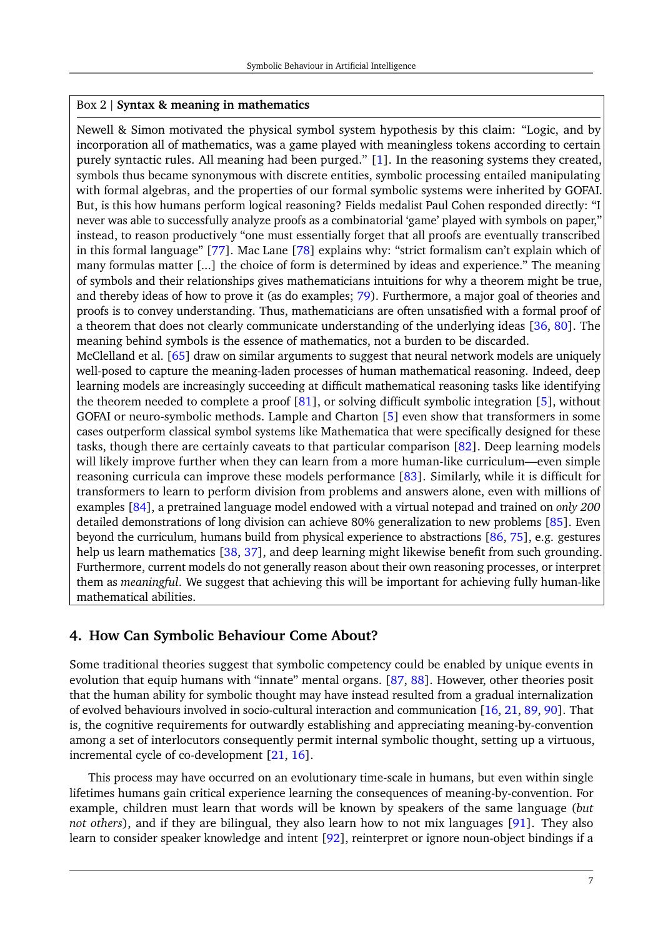#### <span id="page-6-0"></span>Box 2 | **Syntax & meaning in mathematics**

Newell & Simon motivated the physical symbol system hypothesis by this claim: "Logic, and by incorporation all of mathematics, was a game played with meaningless tokens according to certain purely syntactic rules. All meaning had been purged." [\[1\]](#page-9-0). In the reasoning systems they created, symbols thus became synonymous with discrete entities, symbolic processing entailed manipulating with formal algebras, and the properties of our formal symbolic systems were inherited by GOFAI. But, is this how humans perform logical reasoning? Fields medalist Paul Cohen responded directly: "I never was able to successfully analyze proofs as a combinatorial 'game' played with symbols on paper," instead, to reason productively "one must essentially forget that all proofs are eventually transcribed in this formal language" [\[77\]](#page-13-14). Mac Lane [\[78\]](#page-13-15) explains why: "strict formalism can't explain which of many formulas matter [...] the choice of form is determined by ideas and experience." The meaning of symbols and their relationships gives mathematicians intuitions for why a theorem might be true, and thereby ideas of how to prove it (as do examples; [79\)](#page-14-0). Furthermore, a major goal of theories and proofs is to convey understanding. Thus, mathematicians are often unsatisfied with a formal proof of a theorem that does not clearly communicate understanding of the underlying ideas [\[36,](#page-11-4) [80\]](#page-14-1). The meaning behind symbols is the essence of mathematics, not a burden to be discarded. McClelland et al. [\[65\]](#page-13-2) draw on similar arguments to suggest that neural network models are uniquely

well-posed to capture the meaning-laden processes of human mathematical reasoning. Indeed, deep learning models are increasingly succeeding at difficult mathematical reasoning tasks like identifying the theorem needed to complete a proof [\[81\]](#page-14-2), or solving difficult symbolic integration [\[5\]](#page-9-4), without GOFAI or neuro-symbolic methods. Lample and Charton [\[5\]](#page-9-4) even show that transformers in some cases outperform classical symbol systems like Mathematica that were specifically designed for these tasks, though there are certainly caveats to that particular comparison [\[82\]](#page-14-3). Deep learning models will likely improve further when they can learn from a more human-like curriculum—even simple reasoning curricula can improve these models performance [\[83\]](#page-14-4). Similarly, while it is difficult for transformers to learn to perform division from problems and answers alone, even with millions of examples [\[84\]](#page-14-5), a pretrained language model endowed with a virtual notepad and trained on *only 200* detailed demonstrations of long division can achieve 80% generalization to new problems [\[85\]](#page-14-6). Even beyond the curriculum, humans build from physical experience to abstractions [\[86,](#page-14-7) [75\]](#page-13-12), e.g. gestures help us learn mathematics [\[38,](#page-11-6) [37\]](#page-11-5), and deep learning might likewise benefit from such grounding. Furthermore, current models do not generally reason about their own reasoning processes, or interpret them as *meaningful*. We suggest that achieving this will be important for achieving fully human-like mathematical abilities.

#### **4. How Can Symbolic Behaviour Come About?**

Some traditional theories suggest that symbolic competency could be enabled by unique events in evolution that equip humans with "innate" mental organs. [\[87,](#page-14-8) [88\]](#page-14-9). However, other theories posit that the human ability for symbolic thought may have instead resulted from a gradual internalization of evolved behaviours involved in socio-cultural interaction and communication [\[16,](#page-10-1) [21,](#page-10-6) [89,](#page-14-10) [90\]](#page-14-11). That is, the cognitive requirements for outwardly establishing and appreciating meaning-by-convention among a set of interlocutors consequently permit internal symbolic thought, setting up a virtuous, incremental cycle of co-development [\[21,](#page-10-6) [16\]](#page-10-1).

This process may have occurred on an evolutionary time-scale in humans, but even within single lifetimes humans gain critical experience learning the consequences of meaning-by-convention. For example, children must learn that words will be known by speakers of the same language (*but not others*), and if they are bilingual, they also learn how to not mix languages [\[91\]](#page-14-12). They also learn to consider speaker knowledge and intent [\[92\]](#page-14-13), reinterpret or ignore noun-object bindings if a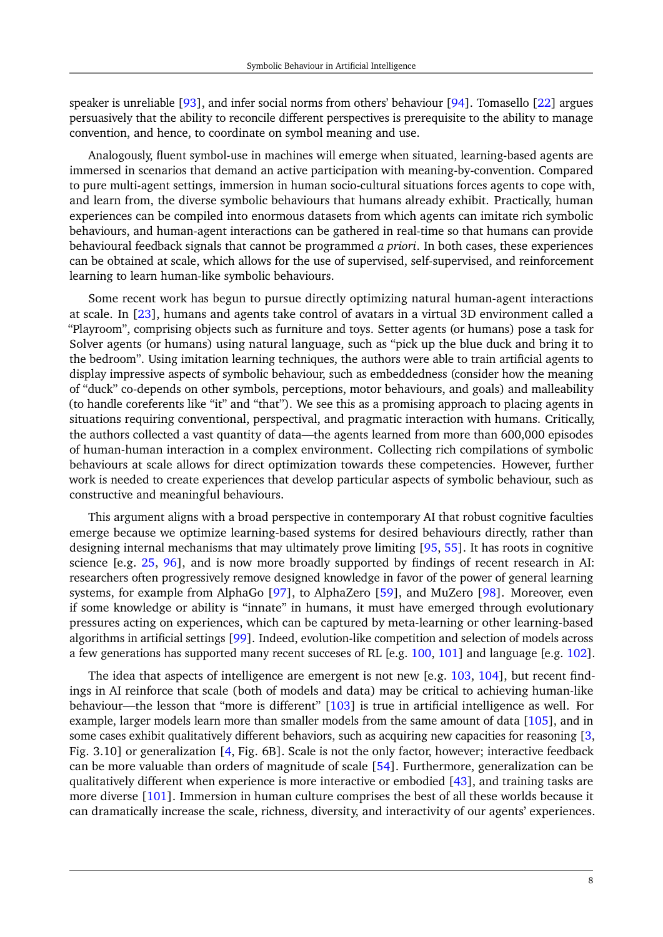speaker is unreliable [\[93\]](#page-14-14), and infer social norms from others' behaviour [\[94\]](#page-14-15). Tomasello [\[22\]](#page-10-7) argues persuasively that the ability to reconcile different perspectives is prerequisite to the ability to manage convention, and hence, to coordinate on symbol meaning and use.

Analogously, fluent symbol-use in machines will emerge when situated, learning-based agents are immersed in scenarios that demand an active participation with meaning-by-convention. Compared to pure multi-agent settings, immersion in human socio-cultural situations forces agents to cope with, and learn from, the diverse symbolic behaviours that humans already exhibit. Practically, human experiences can be compiled into enormous datasets from which agents can imitate rich symbolic behaviours, and human-agent interactions can be gathered in real-time so that humans can provide behavioural feedback signals that cannot be programmed *a priori*. In both cases, these experiences can be obtained at scale, which allows for the use of supervised, self-supervised, and reinforcement learning to learn human-like symbolic behaviours.

Some recent work has begun to pursue directly optimizing natural human-agent interactions at scale. In [\[23\]](#page-10-8), humans and agents take control of avatars in a virtual 3D environment called a "Playroom", comprising objects such as furniture and toys. Setter agents (or humans) pose a task for Solver agents (or humans) using natural language, such as "pick up the blue duck and bring it to the bedroom". Using imitation learning techniques, the authors were able to train artificial agents to display impressive aspects of symbolic behaviour, such as embeddedness (consider how the meaning of "duck" co-depends on other symbols, perceptions, motor behaviours, and goals) and malleability (to handle coreferents like "it" and "that"). We see this as a promising approach to placing agents in situations requiring conventional, perspectival, and pragmatic interaction with humans. Critically, the authors collected a vast quantity of data—the agents learned from more than 600,000 episodes of human-human interaction in a complex environment. Collecting rich compilations of symbolic behaviours at scale allows for direct optimization towards these competencies. However, further work is needed to create experiences that develop particular aspects of symbolic behaviour, such as constructive and meaningful behaviours.

This argument aligns with a broad perspective in contemporary AI that robust cognitive faculties emerge because we optimize learning-based systems for desired behaviours directly, rather than designing internal mechanisms that may ultimately prove limiting [\[95,](#page-14-16) [55\]](#page-12-8). It has roots in cognitive science [e.g. [25,](#page-10-10) [96\]](#page-14-17), and is now more broadly supported by findings of recent research in AI: researchers often progressively remove designed knowledge in favor of the power of general learning systems, for example from AlphaGo [\[97\]](#page-15-0), to AlphaZero [\[59\]](#page-12-12), and MuZero [\[98\]](#page-15-1). Moreover, even if some knowledge or ability is "innate" in humans, it must have emerged through evolutionary pressures acting on experiences, which can be captured by meta-learning or other learning-based algorithms in artificial settings [\[99\]](#page-15-2). Indeed, evolution-like competition and selection of models across a few generations has supported many recent succeses of RL [e.g. [100,](#page-15-3) [101\]](#page-15-4) and language [e.g. [102\]](#page-15-5).

The idea that aspects of intelligence are emergent is not new [e.g. [103,](#page-15-6) [104\]](#page-15-7), but recent findings in AI reinforce that scale (both of models and data) may be critical to achieving human-like behaviour—the lesson that "more is different" [\[103\]](#page-15-6) is true in artificial intelligence as well. For example, larger models learn more than smaller models from the same amount of data [\[105\]](#page-15-8), and in some cases exhibit qualitatively different behaviors, such as acquiring new capacities for reasoning [\[3,](#page-9-2) Fig. 3.10] or generalization [\[4,](#page-9-3) Fig. 6B]. Scale is not the only factor, however; interactive feedback can be more valuable than orders of magnitude of scale [\[54\]](#page-12-7). Furthermore, generalization can be qualitatively different when experience is more interactive or embodied [\[43\]](#page-11-11), and training tasks are more diverse [\[101\]](#page-15-4). Immersion in human culture comprises the best of all these worlds because it can dramatically increase the scale, richness, diversity, and interactivity of our agents' experiences.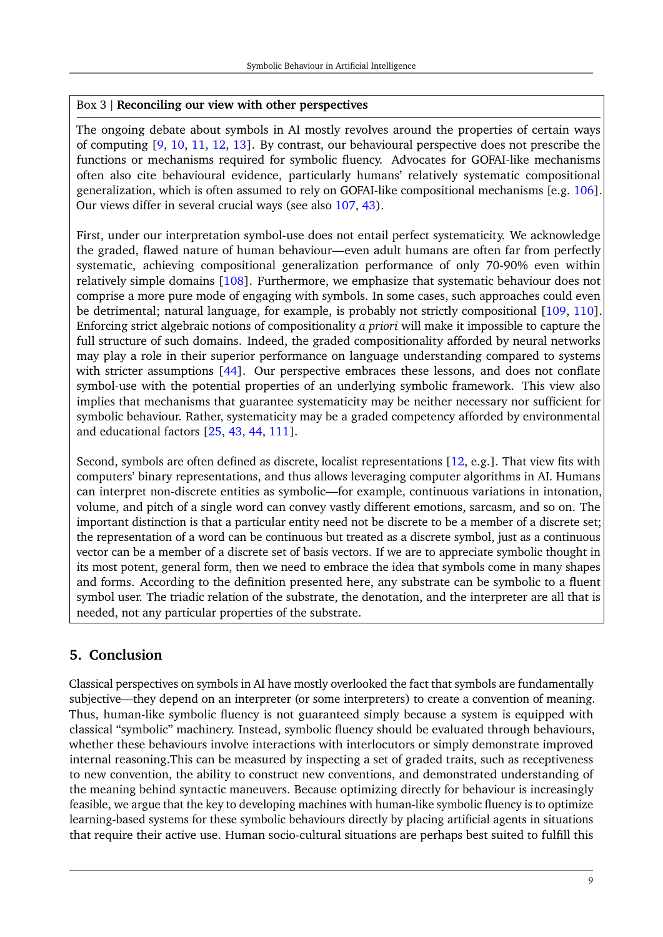#### <span id="page-8-0"></span>Box 3 | **Reconciling our view with other perspectives**

The ongoing debate about symbols in AI mostly revolves around the properties of certain ways of computing [\[9,](#page-9-8) [10,](#page-9-9) [11,](#page-9-10) [12,](#page-9-11) [13\]](#page-9-12). By contrast, our behavioural perspective does not prescribe the functions or mechanisms required for symbolic fluency. Advocates for GOFAI-like mechanisms often also cite behavioural evidence, particularly humans' relatively systematic compositional generalization, which is often assumed to rely on GOFAI-like compositional mechanisms [e.g. [106\]](#page-15-9). Our views differ in several crucial ways (see also [107,](#page-15-10) [43\)](#page-11-11).

First, under our interpretation symbol-use does not entail perfect systematicity. We acknowledge the graded, flawed nature of human behaviour—even adult humans are often far from perfectly systematic, achieving compositional generalization performance of only 70-90% even within relatively simple domains [\[108\]](#page-15-11). Furthermore, we emphasize that systematic behaviour does not comprise a more pure mode of engaging with symbols. In some cases, such approaches could even be detrimental; natural language, for example, is probably not strictly compositional [\[109,](#page-15-12) [110\]](#page-15-13). Enforcing strict algebraic notions of compositionality *a priori* will make it impossible to capture the full structure of such domains. Indeed, the graded compositionality afforded by neural networks may play a role in their superior performance on language understanding compared to systems with stricter assumptions [\[44\]](#page-11-12). Our perspective embraces these lessons, and does not conflate symbol-use with the potential properties of an underlying symbolic framework. This view also implies that mechanisms that guarantee systematicity may be neither necessary nor sufficient for symbolic behaviour. Rather, systematicity may be a graded competency afforded by environmental and educational factors [\[25,](#page-10-10) [43,](#page-11-11) [44,](#page-11-12) [111\]](#page-15-14).

Second, symbols are often defined as discrete, localist representations [\[12,](#page-9-11) e.g.]. That view fits with computers' binary representations, and thus allows leveraging computer algorithms in AI. Humans can interpret non-discrete entities as symbolic—for example, continuous variations in intonation, volume, and pitch of a single word can convey vastly different emotions, sarcasm, and so on. The important distinction is that a particular entity need not be discrete to be a member of a discrete set; the representation of a word can be continuous but treated as a discrete symbol, just as a continuous vector can be a member of a discrete set of basis vectors. If we are to appreciate symbolic thought in its most potent, general form, then we need to embrace the idea that symbols come in many shapes and forms. According to the definition presented here, any substrate can be symbolic to a fluent symbol user. The triadic relation of the substrate, the denotation, and the interpreter are all that is needed, not any particular properties of the substrate.

# **5. Conclusion**

Classical perspectives on symbols in AI have mostly overlooked the fact that symbols are fundamentally subjective—they depend on an interpreter (or some interpreters) to create a convention of meaning. Thus, human-like symbolic fluency is not guaranteed simply because a system is equipped with classical "symbolic" machinery. Instead, symbolic fluency should be evaluated through behaviours, whether these behaviours involve interactions with interlocutors or simply demonstrate improved internal reasoning.This can be measured by inspecting a set of graded traits, such as receptiveness to new convention, the ability to construct new conventions, and demonstrated understanding of the meaning behind syntactic maneuvers. Because optimizing directly for behaviour is increasingly feasible, we argue that the key to developing machines with human-like symbolic fluency is to optimize learning-based systems for these symbolic behaviours directly by placing artificial agents in situations that require their active use. Human socio-cultural situations are perhaps best suited to fulfill this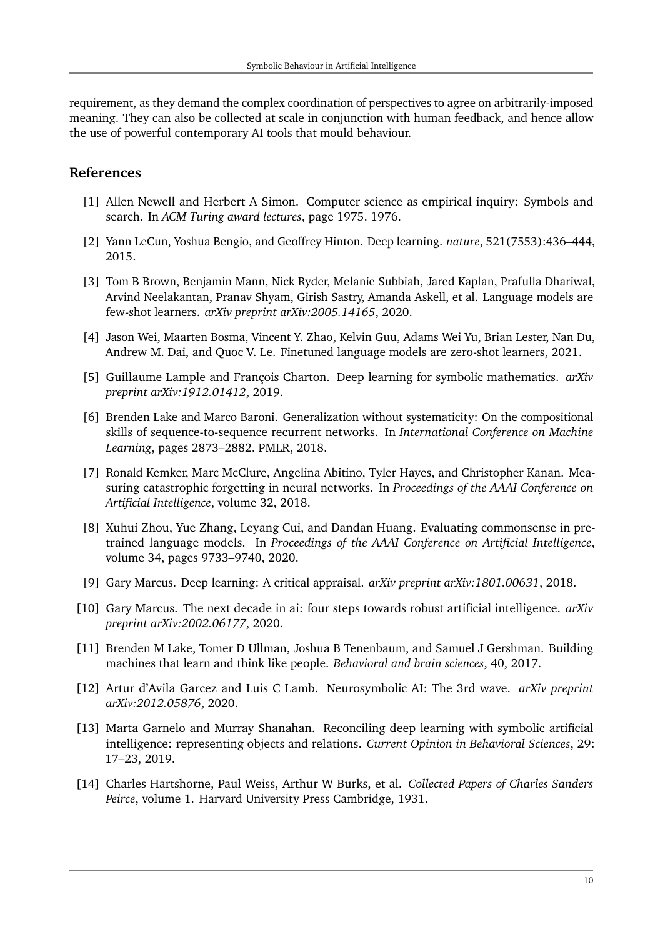requirement, as they demand the complex coordination of perspectives to agree on arbitrarily-imposed meaning. They can also be collected at scale in conjunction with human feedback, and hence allow the use of powerful contemporary AI tools that mould behaviour.

## **References**

- <span id="page-9-0"></span>[1] Allen Newell and Herbert A Simon. Computer science as empirical inquiry: Symbols and search. In *ACM Turing award lectures*, page 1975. 1976.
- <span id="page-9-1"></span>[2] Yann LeCun, Yoshua Bengio, and Geoffrey Hinton. Deep learning. *nature*, 521(7553):436–444, 2015.
- <span id="page-9-2"></span>[3] Tom B Brown, Benjamin Mann, Nick Ryder, Melanie Subbiah, Jared Kaplan, Prafulla Dhariwal, Arvind Neelakantan, Pranav Shyam, Girish Sastry, Amanda Askell, et al. Language models are few-shot learners. *arXiv preprint arXiv:2005.14165*, 2020.
- <span id="page-9-3"></span>[4] Jason Wei, Maarten Bosma, Vincent Y. Zhao, Kelvin Guu, Adams Wei Yu, Brian Lester, Nan Du, Andrew M. Dai, and Quoc V. Le. Finetuned language models are zero-shot learners, 2021.
- <span id="page-9-4"></span>[5] Guillaume Lample and François Charton. Deep learning for symbolic mathematics. *arXiv preprint arXiv:1912.01412*, 2019.
- <span id="page-9-5"></span>[6] Brenden Lake and Marco Baroni. Generalization without systematicity: On the compositional skills of sequence-to-sequence recurrent networks. In *International Conference on Machine Learning*, pages 2873–2882. PMLR, 2018.
- <span id="page-9-6"></span>[7] Ronald Kemker, Marc McClure, Angelina Abitino, Tyler Hayes, and Christopher Kanan. Measuring catastrophic forgetting in neural networks. In *Proceedings of the AAAI Conference on Artificial Intelligence*, volume 32, 2018.
- <span id="page-9-7"></span>[8] Xuhui Zhou, Yue Zhang, Leyang Cui, and Dandan Huang. Evaluating commonsense in pretrained language models. In *Proceedings of the AAAI Conference on Artificial Intelligence*, volume 34, pages 9733–9740, 2020.
- <span id="page-9-8"></span>[9] Gary Marcus. Deep learning: A critical appraisal. *arXiv preprint arXiv:1801.00631*, 2018.
- <span id="page-9-9"></span>[10] Gary Marcus. The next decade in ai: four steps towards robust artificial intelligence. *arXiv preprint arXiv:2002.06177*, 2020.
- <span id="page-9-10"></span>[11] Brenden M Lake, Tomer D Ullman, Joshua B Tenenbaum, and Samuel J Gershman. Building machines that learn and think like people. *Behavioral and brain sciences*, 40, 2017.
- <span id="page-9-11"></span>[12] Artur d'Avila Garcez and Luis C Lamb. Neurosymbolic AI: The 3rd wave. *arXiv preprint arXiv:2012.05876*, 2020.
- <span id="page-9-12"></span>[13] Marta Garnelo and Murray Shanahan. Reconciling deep learning with symbolic artificial intelligence: representing objects and relations. *Current Opinion in Behavioral Sciences*, 29: 17–23, 2019.
- <span id="page-9-13"></span>[14] Charles Hartshorne, Paul Weiss, Arthur W Burks, et al. *Collected Papers of Charles Sanders Peirce*, volume 1. Harvard University Press Cambridge, 1931.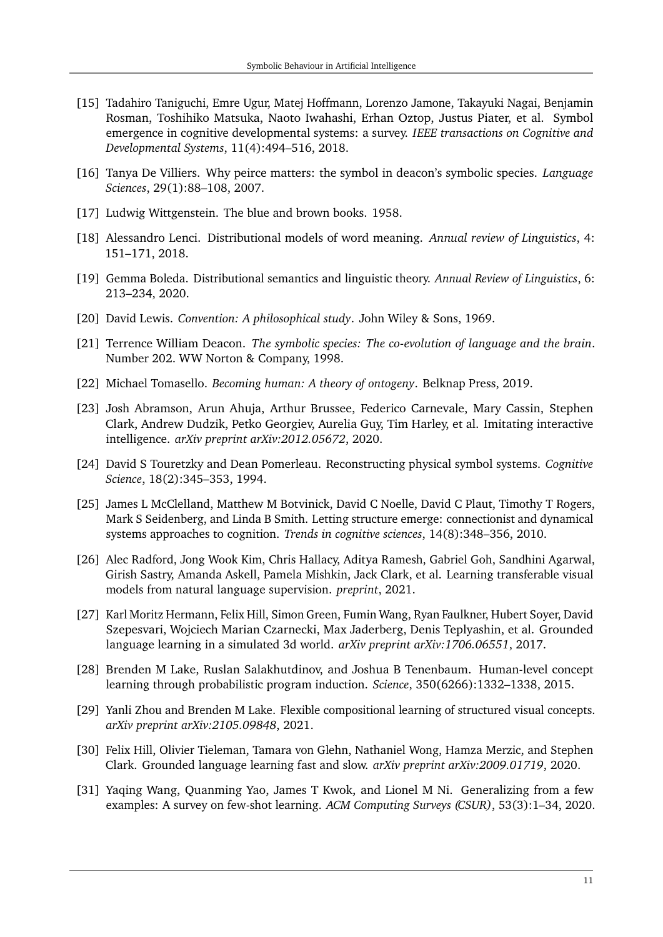- <span id="page-10-0"></span>[15] Tadahiro Taniguchi, Emre Ugur, Matej Hoffmann, Lorenzo Jamone, Takayuki Nagai, Benjamin Rosman, Toshihiko Matsuka, Naoto Iwahashi, Erhan Oztop, Justus Piater, et al. Symbol emergence in cognitive developmental systems: a survey. *IEEE transactions on Cognitive and Developmental Systems*, 11(4):494–516, 2018.
- <span id="page-10-1"></span>[16] Tanya De Villiers. Why peirce matters: the symbol in deacon's symbolic species. *Language Sciences*, 29(1):88–108, 2007.
- <span id="page-10-2"></span>[17] Ludwig Wittgenstein. The blue and brown books. 1958.
- <span id="page-10-3"></span>[18] Alessandro Lenci. Distributional models of word meaning. *Annual review of Linguistics*, 4: 151–171, 2018.
- <span id="page-10-4"></span>[19] Gemma Boleda. Distributional semantics and linguistic theory. *Annual Review of Linguistics*, 6: 213–234, 2020.
- <span id="page-10-5"></span>[20] David Lewis. *Convention: A philosophical study*. John Wiley & Sons, 1969.
- <span id="page-10-6"></span>[21] Terrence William Deacon. *The symbolic species: The co-evolution of language and the brain*. Number 202. WW Norton & Company, 1998.
- <span id="page-10-7"></span>[22] Michael Tomasello. *Becoming human: A theory of ontogeny*. Belknap Press, 2019.
- <span id="page-10-8"></span>[23] Josh Abramson, Arun Ahuja, Arthur Brussee, Federico Carnevale, Mary Cassin, Stephen Clark, Andrew Dudzik, Petko Georgiev, Aurelia Guy, Tim Harley, et al. Imitating interactive intelligence. *arXiv preprint arXiv:2012.05672*, 2020.
- <span id="page-10-9"></span>[24] David S Touretzky and Dean Pomerleau. Reconstructing physical symbol systems. *Cognitive Science*, 18(2):345–353, 1994.
- <span id="page-10-10"></span>[25] James L McClelland, Matthew M Botvinick, David C Noelle, David C Plaut, Timothy T Rogers, Mark S Seidenberg, and Linda B Smith. Letting structure emerge: connectionist and dynamical systems approaches to cognition. *Trends in cognitive sciences*, 14(8):348–356, 2010.
- <span id="page-10-11"></span>[26] Alec Radford, Jong Wook Kim, Chris Hallacy, Aditya Ramesh, Gabriel Goh, Sandhini Agarwal, Girish Sastry, Amanda Askell, Pamela Mishkin, Jack Clark, et al. Learning transferable visual models from natural language supervision. *preprint*, 2021.
- <span id="page-10-12"></span>[27] Karl Moritz Hermann, Felix Hill, Simon Green, Fumin Wang, Ryan Faulkner, Hubert Soyer, David Szepesvari, Wojciech Marian Czarnecki, Max Jaderberg, Denis Teplyashin, et al. Grounded language learning in a simulated 3d world. *arXiv preprint arXiv:1706.06551*, 2017.
- <span id="page-10-13"></span>[28] Brenden M Lake, Ruslan Salakhutdinov, and Joshua B Tenenbaum. Human-level concept learning through probabilistic program induction. *Science*, 350(6266):1332–1338, 2015.
- <span id="page-10-14"></span>[29] Yanli Zhou and Brenden M Lake. Flexible compositional learning of structured visual concepts. *arXiv preprint arXiv:2105.09848*, 2021.
- <span id="page-10-15"></span>[30] Felix Hill, Olivier Tieleman, Tamara von Glehn, Nathaniel Wong, Hamza Merzic, and Stephen Clark. Grounded language learning fast and slow. *arXiv preprint arXiv:2009.01719*, 2020.
- <span id="page-10-16"></span>[31] Yaqing Wang, Quanming Yao, James T Kwok, and Lionel M Ni. Generalizing from a few examples: A survey on few-shot learning. *ACM Computing Surveys (CSUR)*, 53(3):1–34, 2020.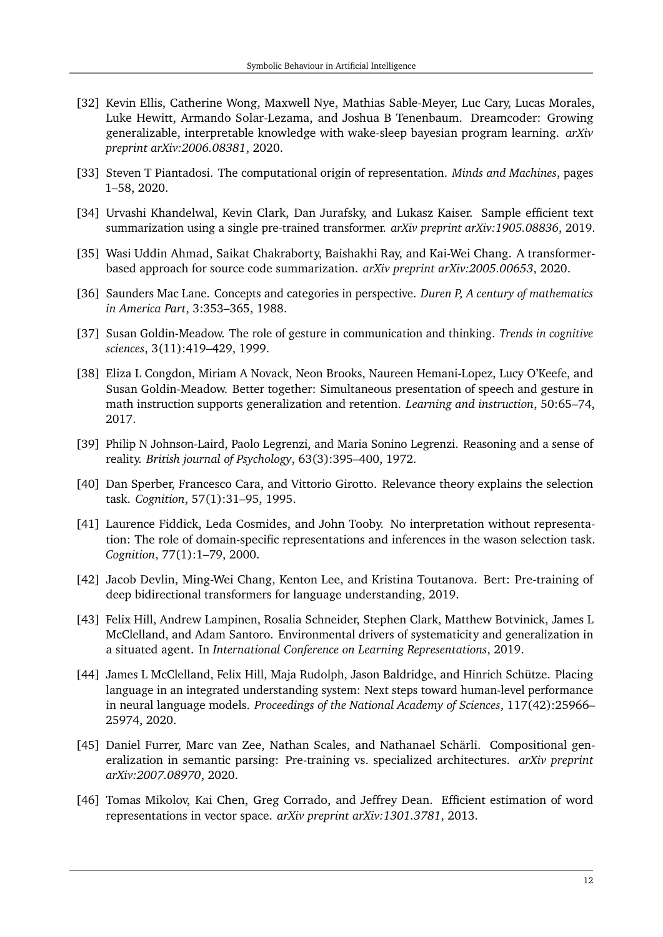- <span id="page-11-0"></span>[32] Kevin Ellis, Catherine Wong, Maxwell Nye, Mathias Sable-Meyer, Luc Cary, Lucas Morales, Luke Hewitt, Armando Solar-Lezama, and Joshua B Tenenbaum. Dreamcoder: Growing generalizable, interpretable knowledge with wake-sleep bayesian program learning. *arXiv preprint arXiv:2006.08381*, 2020.
- <span id="page-11-1"></span>[33] Steven T Piantadosi. The computational origin of representation. *Minds and Machines*, pages 1–58, 2020.
- <span id="page-11-2"></span>[34] Urvashi Khandelwal, Kevin Clark, Dan Jurafsky, and Lukasz Kaiser. Sample efficient text summarization using a single pre-trained transformer. *arXiv preprint arXiv:1905.08836*, 2019.
- <span id="page-11-3"></span>[35] Wasi Uddin Ahmad, Saikat Chakraborty, Baishakhi Ray, and Kai-Wei Chang. A transformerbased approach for source code summarization. *arXiv preprint arXiv:2005.00653*, 2020.
- <span id="page-11-4"></span>[36] Saunders Mac Lane. Concepts and categories in perspective. *Duren P, A century of mathematics in America Part*, 3:353–365, 1988.
- <span id="page-11-5"></span>[37] Susan Goldin-Meadow. The role of gesture in communication and thinking. *Trends in cognitive sciences*, 3(11):419–429, 1999.
- <span id="page-11-6"></span>[38] Eliza L Congdon, Miriam A Novack, Neon Brooks, Naureen Hemani-Lopez, Lucy O'Keefe, and Susan Goldin-Meadow. Better together: Simultaneous presentation of speech and gesture in math instruction supports generalization and retention. *Learning and instruction*, 50:65–74, 2017.
- <span id="page-11-7"></span>[39] Philip N Johnson-Laird, Paolo Legrenzi, and Maria Sonino Legrenzi. Reasoning and a sense of reality. *British journal of Psychology*, 63(3):395–400, 1972.
- <span id="page-11-8"></span>[40] Dan Sperber, Francesco Cara, and Vittorio Girotto. Relevance theory explains the selection task. *Cognition*, 57(1):31–95, 1995.
- <span id="page-11-9"></span>[41] Laurence Fiddick, Leda Cosmides, and John Tooby. No interpretation without representation: The role of domain-specific representations and inferences in the wason selection task. *Cognition*, 77(1):1–79, 2000.
- <span id="page-11-10"></span>[42] Jacob Devlin, Ming-Wei Chang, Kenton Lee, and Kristina Toutanova. Bert: Pre-training of deep bidirectional transformers for language understanding, 2019.
- <span id="page-11-11"></span>[43] Felix Hill, Andrew Lampinen, Rosalia Schneider, Stephen Clark, Matthew Botvinick, James L McClelland, and Adam Santoro. Environmental drivers of systematicity and generalization in a situated agent. In *International Conference on Learning Representations*, 2019.
- <span id="page-11-12"></span>[44] James L McClelland, Felix Hill, Maja Rudolph, Jason Baldridge, and Hinrich Schütze. Placing language in an integrated understanding system: Next steps toward human-level performance in neural language models. *Proceedings of the National Academy of Sciences*, 117(42):25966– 25974, 2020.
- <span id="page-11-13"></span>[45] Daniel Furrer, Marc van Zee, Nathan Scales, and Nathanael Schärli. Compositional generalization in semantic parsing: Pre-training vs. specialized architectures. *arXiv preprint arXiv:2007.08970*, 2020.
- <span id="page-11-14"></span>[46] Tomas Mikolov, Kai Chen, Greg Corrado, and Jeffrey Dean. Efficient estimation of word representations in vector space. *arXiv preprint arXiv:1301.3781*, 2013.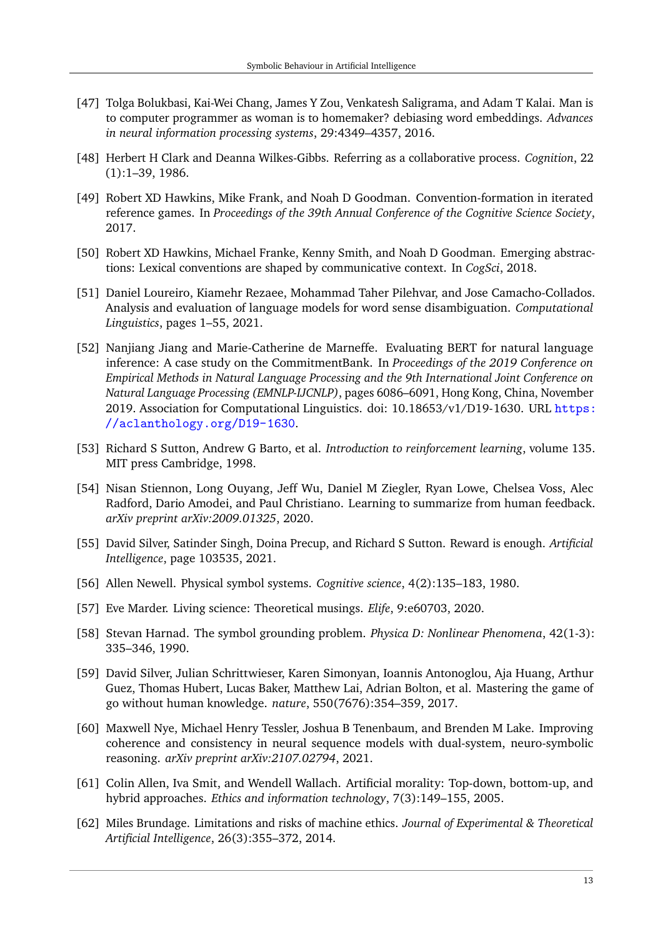- <span id="page-12-0"></span>[47] Tolga Bolukbasi, Kai-Wei Chang, James Y Zou, Venkatesh Saligrama, and Adam T Kalai. Man is to computer programmer as woman is to homemaker? debiasing word embeddings. *Advances in neural information processing systems*, 29:4349–4357, 2016.
- <span id="page-12-1"></span>[48] Herbert H Clark and Deanna Wilkes-Gibbs. Referring as a collaborative process. *Cognition*, 22 (1):1–39, 1986.
- <span id="page-12-2"></span>[49] Robert XD Hawkins, Mike Frank, and Noah D Goodman. Convention-formation in iterated reference games. In *Proceedings of the 39th Annual Conference of the Cognitive Science Society*, 2017.
- <span id="page-12-3"></span>[50] Robert XD Hawkins, Michael Franke, Kenny Smith, and Noah D Goodman. Emerging abstractions: Lexical conventions are shaped by communicative context. In *CogSci*, 2018.
- <span id="page-12-4"></span>[51] Daniel Loureiro, Kiamehr Rezaee, Mohammad Taher Pilehvar, and Jose Camacho-Collados. Analysis and evaluation of language models for word sense disambiguation. *Computational Linguistics*, pages 1–55, 2021.
- <span id="page-12-5"></span>[52] Nanjiang Jiang and Marie-Catherine de Marneffe. Evaluating BERT for natural language inference: A case study on the CommitmentBank. In *Proceedings of the 2019 Conference on Empirical Methods in Natural Language Processing and the 9th International Joint Conference on Natural Language Processing (EMNLP-IJCNLP)*, pages 6086–6091, Hong Kong, China, November 2019. Association for Computational Linguistics. doi: 10.18653/v1/D19-1630. URL [https:](https://aclanthology.org/D19-1630) [//aclanthology.org/D19-1630](https://aclanthology.org/D19-1630).
- <span id="page-12-6"></span>[53] Richard S Sutton, Andrew G Barto, et al. *Introduction to reinforcement learning*, volume 135. MIT press Cambridge, 1998.
- <span id="page-12-7"></span>[54] Nisan Stiennon, Long Ouyang, Jeff Wu, Daniel M Ziegler, Ryan Lowe, Chelsea Voss, Alec Radford, Dario Amodei, and Paul Christiano. Learning to summarize from human feedback. *arXiv preprint arXiv:2009.01325*, 2020.
- <span id="page-12-8"></span>[55] David Silver, Satinder Singh, Doina Precup, and Richard S Sutton. Reward is enough. *Artificial Intelligence*, page 103535, 2021.
- <span id="page-12-9"></span>[56] Allen Newell. Physical symbol systems. *Cognitive science*, 4(2):135–183, 1980.
- <span id="page-12-10"></span>[57] Eve Marder. Living science: Theoretical musings. *Elife*, 9:e60703, 2020.
- <span id="page-12-11"></span>[58] Stevan Harnad. The symbol grounding problem. *Physica D: Nonlinear Phenomena*, 42(1-3): 335–346, 1990.
- <span id="page-12-12"></span>[59] David Silver, Julian Schrittwieser, Karen Simonyan, Ioannis Antonoglou, Aja Huang, Arthur Guez, Thomas Hubert, Lucas Baker, Matthew Lai, Adrian Bolton, et al. Mastering the game of go without human knowledge. *nature*, 550(7676):354–359, 2017.
- <span id="page-12-13"></span>[60] Maxwell Nye, Michael Henry Tessler, Joshua B Tenenbaum, and Brenden M Lake. Improving coherence and consistency in neural sequence models with dual-system, neuro-symbolic reasoning. *arXiv preprint arXiv:2107.02794*, 2021.
- <span id="page-12-14"></span>[61] Colin Allen, Iva Smit, and Wendell Wallach. Artificial morality: Top-down, bottom-up, and hybrid approaches. *Ethics and information technology*, 7(3):149–155, 2005.
- <span id="page-12-15"></span>[62] Miles Brundage. Limitations and risks of machine ethics. *Journal of Experimental & Theoretical Artificial Intelligence*, 26(3):355–372, 2014.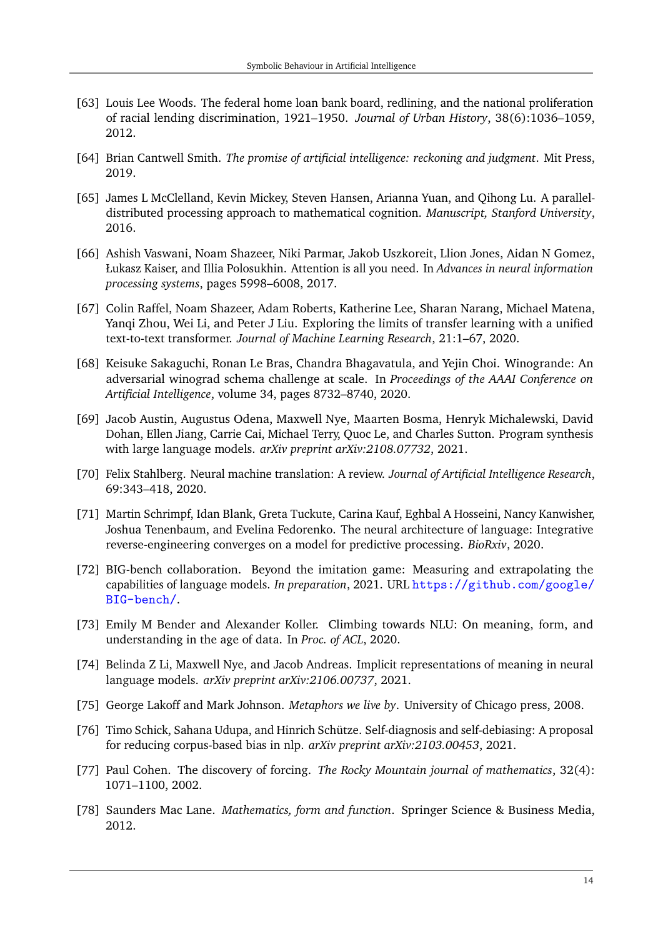- <span id="page-13-0"></span>[63] Louis Lee Woods. The federal home loan bank board, redlining, and the national proliferation of racial lending discrimination, 1921–1950. *Journal of Urban History*, 38(6):1036–1059, 2012.
- <span id="page-13-1"></span>[64] Brian Cantwell Smith. *The promise of artificial intelligence: reckoning and judgment*. Mit Press, 2019.
- <span id="page-13-2"></span>[65] James L McClelland, Kevin Mickey, Steven Hansen, Arianna Yuan, and Qihong Lu. A paralleldistributed processing approach to mathematical cognition. *Manuscript, Stanford University*, 2016.
- <span id="page-13-3"></span>[66] Ashish Vaswani, Noam Shazeer, Niki Parmar, Jakob Uszkoreit, Llion Jones, Aidan N Gomez, Łukasz Kaiser, and Illia Polosukhin. Attention is all you need. In *Advances in neural information processing systems*, pages 5998–6008, 2017.
- <span id="page-13-4"></span>[67] Colin Raffel, Noam Shazeer, Adam Roberts, Katherine Lee, Sharan Narang, Michael Matena, Yanqi Zhou, Wei Li, and Peter J Liu. Exploring the limits of transfer learning with a unified text-to-text transformer. *Journal of Machine Learning Research*, 21:1–67, 2020.
- <span id="page-13-5"></span>[68] Keisuke Sakaguchi, Ronan Le Bras, Chandra Bhagavatula, and Yejin Choi. Winogrande: An adversarial winograd schema challenge at scale. In *Proceedings of the AAAI Conference on Artificial Intelligence*, volume 34, pages 8732–8740, 2020.
- <span id="page-13-6"></span>[69] Jacob Austin, Augustus Odena, Maxwell Nye, Maarten Bosma, Henryk Michalewski, David Dohan, Ellen Jiang, Carrie Cai, Michael Terry, Quoc Le, and Charles Sutton. Program synthesis with large language models. *arXiv preprint arXiv:2108.07732*, 2021.
- <span id="page-13-7"></span>[70] Felix Stahlberg. Neural machine translation: A review. *Journal of Artificial Intelligence Research*, 69:343–418, 2020.
- <span id="page-13-8"></span>[71] Martin Schrimpf, Idan Blank, Greta Tuckute, Carina Kauf, Eghbal A Hosseini, Nancy Kanwisher, Joshua Tenenbaum, and Evelina Fedorenko. The neural architecture of language: Integrative reverse-engineering converges on a model for predictive processing. *BioRxiv*, 2020.
- <span id="page-13-9"></span>[72] BIG-bench collaboration. Beyond the imitation game: Measuring and extrapolating the capabilities of language models. *In preparation*, 2021. URL [https://github.com/google/](https://github.com/google/BIG-bench/) [BIG-bench/](https://github.com/google/BIG-bench/).
- <span id="page-13-10"></span>[73] Emily M Bender and Alexander Koller. Climbing towards NLU: On meaning, form, and understanding in the age of data. In *Proc. of ACL*, 2020.
- <span id="page-13-11"></span>[74] Belinda Z Li, Maxwell Nye, and Jacob Andreas. Implicit representations of meaning in neural language models. *arXiv preprint arXiv:2106.00737*, 2021.
- <span id="page-13-12"></span>[75] George Lakoff and Mark Johnson. *Metaphors we live by*. University of Chicago press, 2008.
- <span id="page-13-13"></span>[76] Timo Schick, Sahana Udupa, and Hinrich Schütze. Self-diagnosis and self-debiasing: A proposal for reducing corpus-based bias in nlp. *arXiv preprint arXiv:2103.00453*, 2021.
- <span id="page-13-14"></span>[77] Paul Cohen. The discovery of forcing. *The Rocky Mountain journal of mathematics*, 32(4): 1071–1100, 2002.
- <span id="page-13-15"></span>[78] Saunders Mac Lane. *Mathematics, form and function*. Springer Science & Business Media, 2012.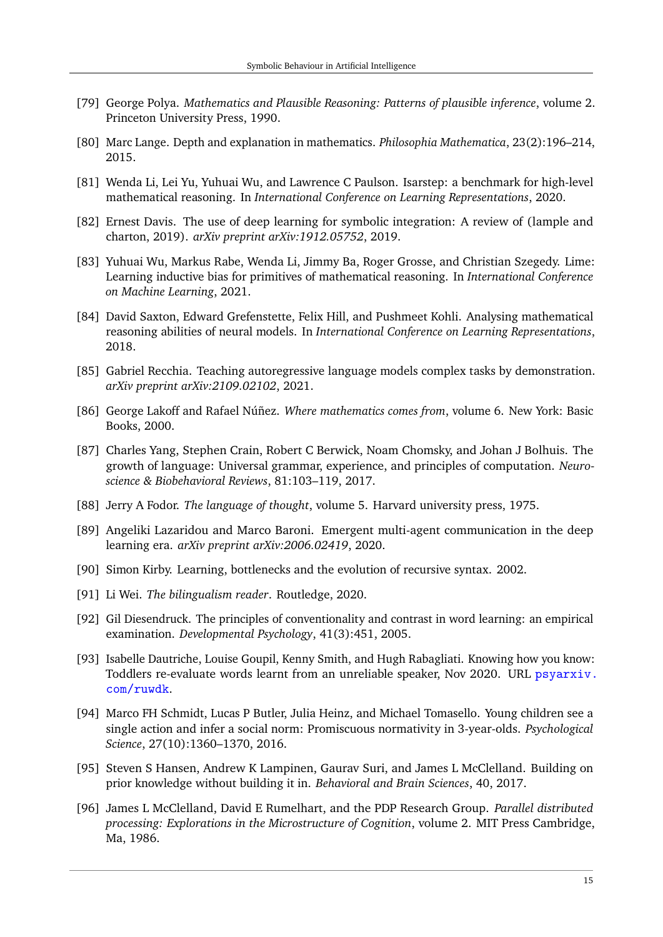- <span id="page-14-0"></span>[79] George Polya. *Mathematics and Plausible Reasoning: Patterns of plausible inference*, volume 2. Princeton University Press, 1990.
- <span id="page-14-1"></span>[80] Marc Lange. Depth and explanation in mathematics. *Philosophia Mathematica*, 23(2):196–214, 2015.
- <span id="page-14-2"></span>[81] Wenda Li, Lei Yu, Yuhuai Wu, and Lawrence C Paulson. Isarstep: a benchmark for high-level mathematical reasoning. In *International Conference on Learning Representations*, 2020.
- <span id="page-14-3"></span>[82] Ernest Davis. The use of deep learning for symbolic integration: A review of (lample and charton, 2019). *arXiv preprint arXiv:1912.05752*, 2019.
- <span id="page-14-4"></span>[83] Yuhuai Wu, Markus Rabe, Wenda Li, Jimmy Ba, Roger Grosse, and Christian Szegedy. Lime: Learning inductive bias for primitives of mathematical reasoning. In *International Conference on Machine Learning*, 2021.
- <span id="page-14-5"></span>[84] David Saxton, Edward Grefenstette, Felix Hill, and Pushmeet Kohli. Analysing mathematical reasoning abilities of neural models. In *International Conference on Learning Representations*, 2018.
- <span id="page-14-6"></span>[85] Gabriel Recchia. Teaching autoregressive language models complex tasks by demonstration. *arXiv preprint arXiv:2109.02102*, 2021.
- <span id="page-14-7"></span>[86] George Lakoff and Rafael Núñez. *Where mathematics comes from*, volume 6. New York: Basic Books, 2000.
- <span id="page-14-8"></span>[87] Charles Yang, Stephen Crain, Robert C Berwick, Noam Chomsky, and Johan J Bolhuis. The growth of language: Universal grammar, experience, and principles of computation. *Neuroscience & Biobehavioral Reviews*, 81:103–119, 2017.
- <span id="page-14-9"></span>[88] Jerry A Fodor. *The language of thought*, volume 5. Harvard university press, 1975.
- <span id="page-14-10"></span>[89] Angeliki Lazaridou and Marco Baroni. Emergent multi-agent communication in the deep learning era. *arXiv preprint arXiv:2006.02419*, 2020.
- <span id="page-14-11"></span>[90] Simon Kirby. Learning, bottlenecks and the evolution of recursive syntax. 2002.
- <span id="page-14-12"></span>[91] Li Wei. *The bilingualism reader*. Routledge, 2020.
- <span id="page-14-13"></span>[92] Gil Diesendruck. The principles of conventionality and contrast in word learning: an empirical examination. *Developmental Psychology*, 41(3):451, 2005.
- <span id="page-14-14"></span>[93] Isabelle Dautriche, Louise Goupil, Kenny Smith, and Hugh Rabagliati. Knowing how you know: Toddlers re-evaluate words learnt from an unreliable speaker, Nov 2020. URL [psyarxiv.](psyarxiv.com/ruwdk) [com/ruwdk](psyarxiv.com/ruwdk).
- <span id="page-14-15"></span>[94] Marco FH Schmidt, Lucas P Butler, Julia Heinz, and Michael Tomasello. Young children see a single action and infer a social norm: Promiscuous normativity in 3-year-olds. *Psychological Science*, 27(10):1360–1370, 2016.
- <span id="page-14-16"></span>[95] Steven S Hansen, Andrew K Lampinen, Gaurav Suri, and James L McClelland. Building on prior knowledge without building it in. *Behavioral and Brain Sciences*, 40, 2017.
- <span id="page-14-17"></span>[96] James L McClelland, David E Rumelhart, and the PDP Research Group. *Parallel distributed processing: Explorations in the Microstructure of Cognition*, volume 2. MIT Press Cambridge, Ma, 1986.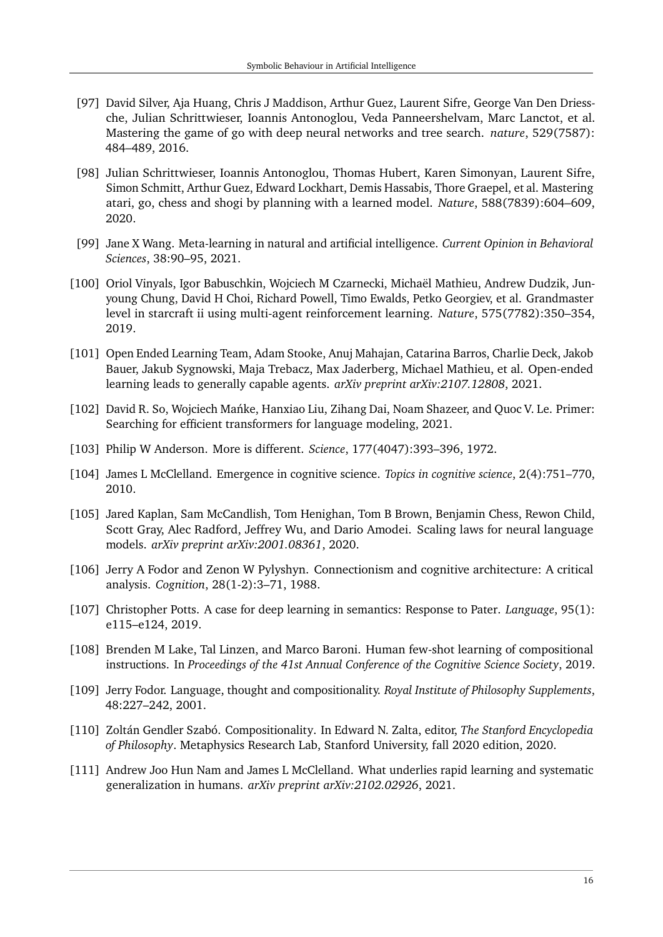- <span id="page-15-0"></span>[97] David Silver, Aja Huang, Chris J Maddison, Arthur Guez, Laurent Sifre, George Van Den Driessche, Julian Schrittwieser, Ioannis Antonoglou, Veda Panneershelvam, Marc Lanctot, et al. Mastering the game of go with deep neural networks and tree search. *nature*, 529(7587): 484–489, 2016.
- <span id="page-15-1"></span>[98] Julian Schrittwieser, Ioannis Antonoglou, Thomas Hubert, Karen Simonyan, Laurent Sifre, Simon Schmitt, Arthur Guez, Edward Lockhart, Demis Hassabis, Thore Graepel, et al. Mastering atari, go, chess and shogi by planning with a learned model. *Nature*, 588(7839):604–609, 2020.
- <span id="page-15-2"></span>[99] Jane X Wang. Meta-learning in natural and artificial intelligence. *Current Opinion in Behavioral Sciences*, 38:90–95, 2021.
- <span id="page-15-3"></span>[100] Oriol Vinyals, Igor Babuschkin, Wojciech M Czarnecki, Michaël Mathieu, Andrew Dudzik, Junyoung Chung, David H Choi, Richard Powell, Timo Ewalds, Petko Georgiev, et al. Grandmaster level in starcraft ii using multi-agent reinforcement learning. *Nature*, 575(7782):350–354, 2019.
- <span id="page-15-4"></span>[101] Open Ended Learning Team, Adam Stooke, Anuj Mahajan, Catarina Barros, Charlie Deck, Jakob Bauer, Jakub Sygnowski, Maja Trebacz, Max Jaderberg, Michael Mathieu, et al. Open-ended learning leads to generally capable agents. *arXiv preprint arXiv:2107.12808*, 2021.
- <span id="page-15-5"></span>[102] David R. So, Wojciech Mańke, Hanxiao Liu, Zihang Dai, Noam Shazeer, and Quoc V. Le. Primer: Searching for efficient transformers for language modeling, 2021.
- <span id="page-15-6"></span>[103] Philip W Anderson. More is different. *Science*, 177(4047):393–396, 1972.
- <span id="page-15-7"></span>[104] James L McClelland. Emergence in cognitive science. *Topics in cognitive science*, 2(4):751–770, 2010.
- <span id="page-15-8"></span>[105] Jared Kaplan, Sam McCandlish, Tom Henighan, Tom B Brown, Benjamin Chess, Rewon Child, Scott Gray, Alec Radford, Jeffrey Wu, and Dario Amodei. Scaling laws for neural language models. *arXiv preprint arXiv:2001.08361*, 2020.
- <span id="page-15-9"></span>[106] Jerry A Fodor and Zenon W Pylyshyn. Connectionism and cognitive architecture: A critical analysis. *Cognition*, 28(1-2):3–71, 1988.
- <span id="page-15-10"></span>[107] Christopher Potts. A case for deep learning in semantics: Response to Pater. *Language*, 95(1): e115–e124, 2019.
- <span id="page-15-11"></span>[108] Brenden M Lake, Tal Linzen, and Marco Baroni. Human few-shot learning of compositional instructions. In *Proceedings of the 41st Annual Conference of the Cognitive Science Society*, 2019.
- <span id="page-15-12"></span>[109] Jerry Fodor. Language, thought and compositionality. *Royal Institute of Philosophy Supplements*, 48:227–242, 2001.
- <span id="page-15-13"></span>[110] Zoltán Gendler Szabó. Compositionality. In Edward N. Zalta, editor, *The Stanford Encyclopedia of Philosophy*. Metaphysics Research Lab, Stanford University, fall 2020 edition, 2020.
- <span id="page-15-14"></span>[111] Andrew Joo Hun Nam and James L McClelland. What underlies rapid learning and systematic generalization in humans. *arXiv preprint arXiv:2102.02926*, 2021.